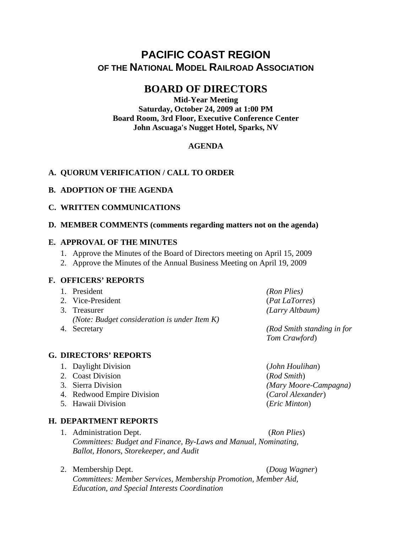# **PACIFIC COAST REGION OF THE NATIONAL MODEL RAILROAD ASSOCIATION**

# **BOARD OF DIRECTORS**

**Mid-Year Meeting Saturday, October 24, 2009 at 1:00 PM Board Room, 3rd Floor, Executive Conference Center John Ascuaga's Nugget Hotel, Sparks, NV** 

## **AGENDA**

### **A. QUORUM VERIFICATION / CALL TO ORDER**

### **B. ADOPTION OF THE AGENDA**

### **C. WRITTEN COMMUNICATIONS**

### **D. MEMBER COMMENTS (comments regarding matters not on the agenda)**

#### **E. APPROVAL OF THE MINUTES**

- 1. Approve the Minutes of the Board of Directors meeting on April 15, 2009
- 2. Approve the Minutes of the Annual Business Meeting on April 19, 2009

#### **F. OFFICERS' REPORTS**

#### 1. President *(Ron Plies)*

- 2. Vice-President (*Pat LaTorres*)
- 3. Treasurer *(Larry Altbaum) (Note: Budget consideration is under Item K)*
- 

## **G. DIRECTORS' REPORTS**

- 1. Daylight Division (*John Houlihan*)
- 2. Coast Division (*Rod Smith*)
- 
- 4. Redwood Empire Division (*Carol Alexander*)
- 5. Hawaii Division (*Eric Minton*)

### **H. DEPARTMENT REPORTS**

- 1. Administration Dept. (*Ron Plies*) *Committees: Budget and Finance, By-Laws and Manual, Nominating, Ballot, Honors, Storekeeper, and Audit*
- 2. Membership Dept. (*Doug Wagner*)

*Committees: Member Services, Membership Promotion, Member Aid, Education, and Special Interests Coordination* 

4. Secretary *(Rod Smith standing in for Tom Crawford*)

3. Sierra Division *(Mary Moore-Campagna)*